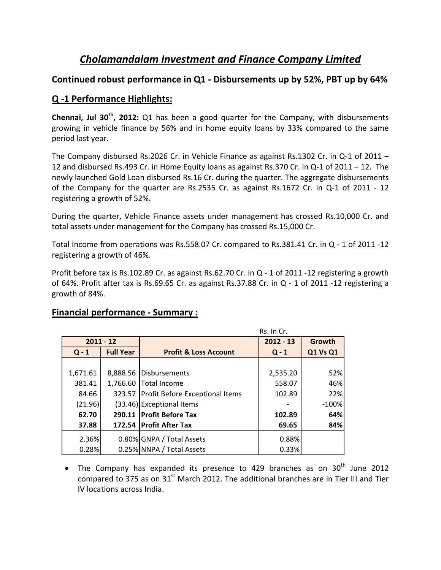# *Cholamandalam Investment and Finance Company Limited*

### **Continued robust performance in Q1 ‐ Disbursements up by 52%, PBT up by 64%**

## **Q ‐1 Performance Highlights:**

**Chennai, Jul 30th, 2012:** Q1 has been a good quarter for the Company, with disbursements growing in vehicle finance by 56% and in home equity loans by 33% compared to the same period last year.

The Company disbursed Rs.2026 Cr. in Vehicle Finance as against Rs.1302 Cr. in Q-1 of 2011 – 12 and disbursed Rs.493 Cr. in Home Equity loans as against Rs.370 Cr. in Q‐1 of 2011 – 12. The newly launched Gold Loan disbursed Rs.16 Cr. during the quarter. The aggregate disbursements of the Company for the quarter are Rs.2535 Cr. as against Rs.1672 Cr. in Q-1 of 2011 - 12 registering a growth of 52%.

During the quarter, Vehicle Finance assets under management has crossed Rs.10,000 Cr. and total assets under management for the Company has crossed Rs.15,000 Cr.

Total Income from operations was Rs.558.07 Cr. compared to Rs.381.41 Cr. in Q ‐ 1 of 2011 ‐12 registering a growth of 46%.

Profit before tax is Rs.102.89 Cr. as against Rs.62.70 Cr. in Q - 1 of 2011 -12 registering a growth of 64%. Profit after tax is Rs.69.65 Cr. as against Rs.37.88 Cr. in Q ‐ 1 of 2011 ‐12 registering a growth of 84%.

#### **Financial performance ‐ Summary :**

|             |                  | Rs. In Cr.                             |             |                 |
|-------------|------------------|----------------------------------------|-------------|-----------------|
| $2011 - 12$ |                  |                                        | $2012 - 13$ | Growth          |
| $Q - 1$     | <b>Full Year</b> | <b>Profit &amp; Loss Account</b>       | $Q - 1$     | <b>Q1 Vs Q1</b> |
|             |                  |                                        |             |                 |
| 1,671.61    | 8,888.56         | <b>Disbursements</b>                   | 2,535.20    | 52%             |
| 381.41      |                  | 1,766.60 Total Income                  | 558.07      | 46%             |
| 84.66       | 323.57           | <b>Profit Before Exceptional Items</b> | 102.89      | 22%             |
| (21.96)     |                  | (33.46) Exceptional Items              |             | $-100%$         |
| 62.70       |                  | 290.11   Profit Before Tax             | 102.89      | 64%             |
| 37.88       |                  | 172.54   Profit After Tax              | 69.65       | 84%             |
| 2.36%       |                  | 0.80% GNPA / Total Assets              | 0.88%       |                 |
| 0.28%       |                  | 0.25% NNPA / Total Assets              | 0.33%       |                 |

• The Company has expanded its presence to 429 branches as on  $30<sup>th</sup>$  June 2012 compared to 375 as on  $31<sup>st</sup>$  March 2012. The additional branches are in Tier III and Tier IV locations across India.